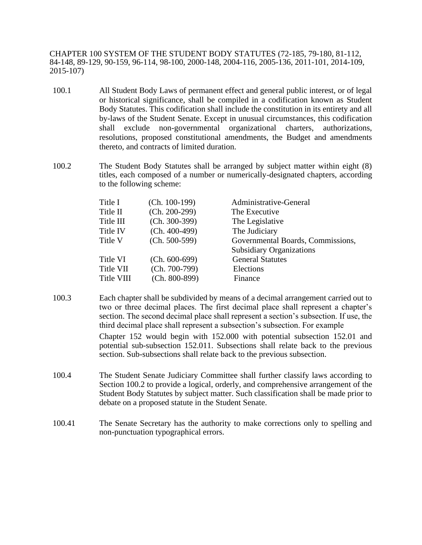CHAPTER 100 SYSTEM OF THE STUDENT BODY STATUTES (72-185, 79-180, 81-112, 84-148, 89-129, 90-159, 96-114, 98-100, 2000-148, 2004-116, 2005-136, 2011-101, 2014-109, 2015-107)

- 100.1 All Student Body Laws of permanent effect and general public interest, or of legal or historical significance, shall be compiled in a codification known as Student Body Statutes. This codification shall include the constitution in its entirety and all by-laws of the Student Senate. Except in unusual circumstances, this codification shall exclude non-governmental organizational charters, authorizations, resolutions, proposed constitutional amendments, the Budget and amendments thereto, and contracts of limited duration.
- 100.2 The Student Body Statutes shall be arranged by subject matter within eight (8) titles, each composed of a number or numerically-designated chapters, according to the following scheme:

| Title I    | $(Ch. 100-199)$ | Administrative-General            |
|------------|-----------------|-----------------------------------|
| Title II   | $(Ch. 200-299)$ | The Executive                     |
| Title III  | $(Ch. 300-399)$ | The Legislative                   |
| Title IV   | $(Ch. 400-499)$ | The Judiciary                     |
| Title V    | $(Ch. 500-599)$ | Governmental Boards, Commissions, |
|            |                 | <b>Subsidiary Organizations</b>   |
| Title VI   | $(Ch. 600-699)$ | <b>General Statutes</b>           |
| Title VII  | $(Ch. 700-799)$ | Elections                         |
| Title VIII | $(Ch. 800-899)$ | Finance                           |

100.3 Each chapter shall be subdivided by means of a decimal arrangement carried out to two or three decimal places. The first decimal place shall represent a chapter's section. The second decimal place shall represent a section's subsection. If use, the third decimal place shall represent a subsection's subsection. For example Chapter 152 would begin with 152.000 with potential subsection 152.01 and

potential sub-subsection 152.011. Subsections shall relate back to the previous section. Sub-subsections shall relate back to the previous subsection.

- 100.4 The Student Senate Judiciary Committee shall further classify laws according to Section 100.2 to provide a logical, orderly, and comprehensive arrangement of the Student Body Statutes by subject matter. Such classification shall be made prior to debate on a proposed statute in the Student Senate.
- 100.41 The Senate Secretary has the authority to make corrections only to spelling and non-punctuation typographical errors.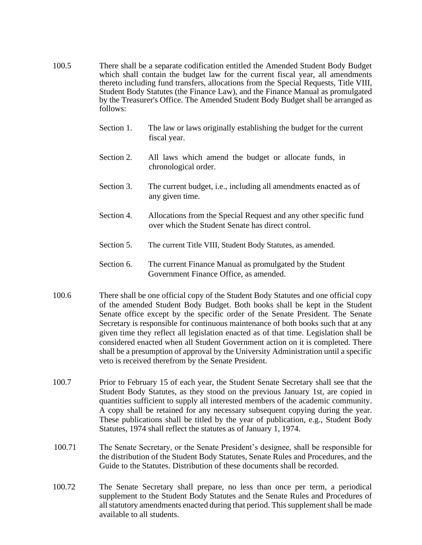- 100.5 There shall be a separate codification entitled the Amended Student Body Budget which shall contain the budget law for the current fiscal year, all amendments thereto including fund transfers, allocations from the Special Requests, Title VIII, Student Body Statutes (the Finance Law), and the Finance Manual as promulgated by the Treasurer's Office. The Amended Student Body Budget shall be arranged as follows:
	- Section 1. The law or laws originally establishing the budget for the current fiscal year.
	- Section 2. All laws which amend the budget or allocate funds, in chronological order.
	- Section 3. The current budget, i.e., including all amendments enacted as of any given time.
	- Section 4. Allocations from the Special Request and any other specific fund over which the Student Senate has direct control.
	- Section 5. The current Title VIII, Student Body Statutes, as amended.
	- Section 6. The current Finance Manual as promulgated by the Student Government Finance Office, as amended.
- 100.6 There shall be one official copy of the Student Body Statutes and one official copy of the amended Student Body Budget. Both books shall be kept in the Student Senate office except by the specific order of the Senate President. The Senate Secretary is responsible for continuous maintenance of both books such that at any given time they reflect all legislation enacted as of that time. Legislation shall be considered enacted when all Student Government action on it is completed. There shall be a presumption of approval by the University Administration until a specific veto is received therefrom by the Senate President.
- 100.7 Prior to February 15 of each year, the Student Senate Secretary shall see that the Student Body Statutes, as they stood on the previous January 1st, are copied in quantities sufficient to supply all interested members of the academic community. A copy shall be retained for any necessary subsequent copying during the year. These publications shall be titled by the year of publication, e.g., Student Body Statutes, 1974 shall reflect the statutes as of January 1, 1974.
- 100.71 The Senate Secretary, or the Senate President's designee, shall be responsible for the distribution of the Student Body Statutes, Senate Rules and Procedures, and the Guide to the Statutes. Distribution of these documents shall be recorded.
- 100.72 The Senate Secretary shall prepare, no less than once per term, a periodical supplement to the Student Body Statutes and the Senate Rules and Procedures of all statutory amendments enacted during that period. This supplement shall be made available to all students.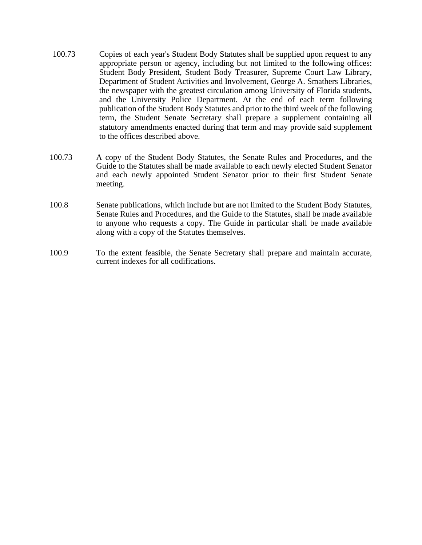- 100.73 Copies of each year's Student Body Statutes shall be supplied upon request to any appropriate person or agency, including but not limited to the following offices: Student Body President, Student Body Treasurer, Supreme Court Law Library, Department of Student Activities and Involvement, George A. Smathers Libraries, the newspaper with the greatest circulation among University of Florida students, and the University Police Department. At the end of each term following publication of the Student Body Statutes and prior to the third week of the following term, the Student Senate Secretary shall prepare a supplement containing all statutory amendments enacted during that term and may provide said supplement to the offices described above.
- 100.73 A copy of the Student Body Statutes, the Senate Rules and Procedures, and the Guide to the Statutes shall be made available to each newly elected Student Senator and each newly appointed Student Senator prior to their first Student Senate meeting.
- 100.8 Senate publications, which include but are not limited to the Student Body Statutes, Senate Rules and Procedures, and the Guide to the Statutes, shall be made available to anyone who requests a copy. The Guide in particular shall be made available along with a copy of the Statutes themselves.
- 100.9 To the extent feasible, the Senate Secretary shall prepare and maintain accurate, current indexes for all codifications.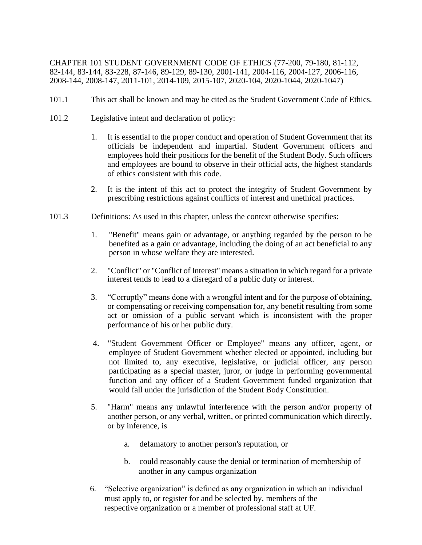CHAPTER 101 STUDENT GOVERNMENT CODE OF ETHICS (77-200, 79-180, 81-112, 82-144, 83-144, 83-228, 87-146, 89-129, 89-130, 2001-141, 2004-116, 2004-127, 2006-116, 2008-144, 2008-147, 2011-101, 2014-109, 2015-107, 2020-104, 2020-1044, 2020-1047)

- 101.1 This act shall be known and may be cited as the Student Government Code of Ethics.
- 101.2 Legislative intent and declaration of policy:
	- 1. It is essential to the proper conduct and operation of Student Government that its officials be independent and impartial. Student Government officers and employees hold their positions for the benefit of the Student Body. Such officers and employees are bound to observe in their official acts, the highest standards of ethics consistent with this code.
	- 2. It is the intent of this act to protect the integrity of Student Government by prescribing restrictions against conflicts of interest and unethical practices.
- 101.3 Definitions: As used in this chapter, unless the context otherwise specifies:
	- 1. "Benefit" means gain or advantage, or anything regarded by the person to be benefited as a gain or advantage, including the doing of an act beneficial to any person in whose welfare they are interested.
	- 2. "Conflict" or "Conflict of Interest" means a situation in which regard for a private interest tends to lead to a disregard of a public duty or interest.
	- 3. "Corruptly" means done with a wrongful intent and for the purpose of obtaining, or compensating or receiving compensation for, any benefit resulting from some act or omission of a public servant which is inconsistent with the proper performance of his or her public duty.
	- 4. "Student Government Officer or Employee" means any officer, agent, or employee of Student Government whether elected or appointed, including but not limited to, any executive, legislative, or judicial officer, any person participating as a special master, juror, or judge in performing governmental function and any officer of a Student Government funded organization that would fall under the jurisdiction of the Student Body Constitution.
	- 5. "Harm" means any unlawful interference with the person and/or property of another person, or any verbal, written, or printed communication which directly, or by inference, is
		- a. defamatory to another person's reputation, or
		- b. could reasonably cause the denial or termination of membership of another in any campus organization
	- 6. "Selective organization" is defined as any organization in which an individual must apply to, or register for and be selected by, members of the respective organization or a member of professional staff at UF.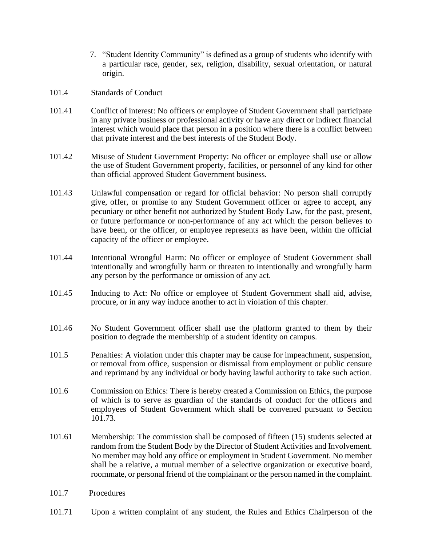- 7. "Student Identity Community" is defined as a group of students who identify with a particular race, gender, sex, religion, disability, sexual orientation, or natural origin.
- 101.4 Standards of Conduct
- 101.41 Conflict of interest: No officers or employee of Student Government shall participate in any private business or professional activity or have any direct or indirect financial interest which would place that person in a position where there is a conflict between that private interest and the best interests of the Student Body.
- 101.42 Misuse of Student Government Property: No officer or employee shall use or allow the use of Student Government property, facilities, or personnel of any kind for other than official approved Student Government business.
- 101.43 Unlawful compensation or regard for official behavior: No person shall corruptly give, offer, or promise to any Student Government officer or agree to accept, any pecuniary or other benefit not authorized by Student Body Law, for the past, present, or future performance or non-performance of any act which the person believes to have been, or the officer, or employee represents as have been, within the official capacity of the officer or employee.
- 101.44 Intentional Wrongful Harm: No officer or employee of Student Government shall intentionally and wrongfully harm or threaten to intentionally and wrongfully harm any person by the performance or omission of any act.
- 101.45 Inducing to Act: No office or employee of Student Government shall aid, advise, procure, or in any way induce another to act in violation of this chapter.
- 101.46 No Student Government officer shall use the platform granted to them by their position to degrade the membership of a student identity on campus.
- 101.5 Penalties: A violation under this chapter may be cause for impeachment, suspension, or removal from office, suspension or dismissal from employment or public censure and reprimand by any individual or body having lawful authority to take such action.
- 101.6 Commission on Ethics: There is hereby created a Commission on Ethics, the purpose of which is to serve as guardian of the standards of conduct for the officers and employees of Student Government which shall be convened pursuant to Section 101.73.
- 101.61 Membership: The commission shall be composed of fifteen (15) students selected at random from the Student Body by the Director of Student Activities and Involvement. No member may hold any office or employment in Student Government. No member shall be a relative, a mutual member of a selective organization or executive board, roommate, or personal friend of the complainant or the person named in the complaint.
- 101.7 Procedures
- 101.71 Upon a written complaint of any student, the Rules and Ethics Chairperson of the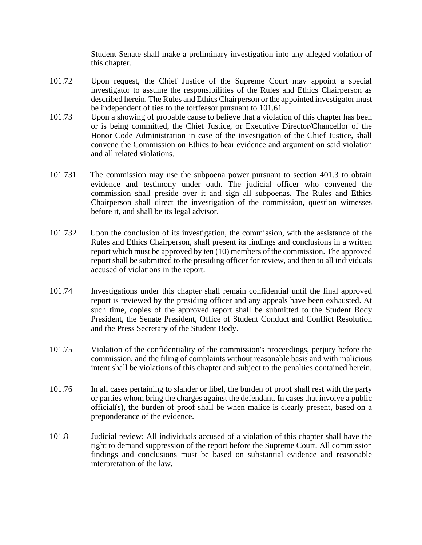Student Senate shall make a preliminary investigation into any alleged violation of this chapter.

- 101.72 Upon request, the Chief Justice of the Supreme Court may appoint a special investigator to assume the responsibilities of the Rules and Ethics Chairperson as described herein. The Rules and Ethics Chairperson or the appointed investigator must be independent of ties to the tortfeasor pursuant to 101.61.
- 101.73 Upon a showing of probable cause to believe that a violation of this chapter has been or is being committed, the Chief Justice, or Executive Director/Chancellor of the Honor Code Administration in case of the investigation of the Chief Justice, shall convene the Commission on Ethics to hear evidence and argument on said violation and all related violations.
- 101.731 The commission may use the subpoena power pursuant to section 401.3 to obtain evidence and testimony under oath. The judicial officer who convened the commission shall preside over it and sign all subpoenas. The Rules and Ethics Chairperson shall direct the investigation of the commission, question witnesses before it, and shall be its legal advisor.
- 101.732 Upon the conclusion of its investigation, the commission, with the assistance of the Rules and Ethics Chairperson, shall present its findings and conclusions in a written report which must be approved by ten (10) members of the commission. The approved report shall be submitted to the presiding officer for review, and then to all individuals accused of violations in the report.
- 101.74 Investigations under this chapter shall remain confidential until the final approved report is reviewed by the presiding officer and any appeals have been exhausted. At such time, copies of the approved report shall be submitted to the Student Body President, the Senate President, Office of Student Conduct and Conflict Resolution and the Press Secretary of the Student Body.
- 101.75 Violation of the confidentiality of the commission's proceedings, perjury before the commission, and the filing of complaints without reasonable basis and with malicious intent shall be violations of this chapter and subject to the penalties contained herein.
- 101.76 In all cases pertaining to slander or libel, the burden of proof shall rest with the party or parties whom bring the charges against the defendant. In cases that involve a public official(s), the burden of proof shall be when malice is clearly present, based on a preponderance of the evidence.
- 101.8 Judicial review: All individuals accused of a violation of this chapter shall have the right to demand suppression of the report before the Supreme Court. All commission findings and conclusions must be based on substantial evidence and reasonable interpretation of the law.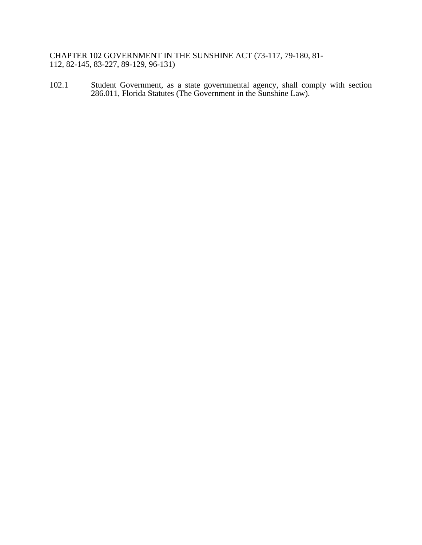CHAPTER 102 GOVERNMENT IN THE SUNSHINE ACT (73-117, 79-180, 81- 112, 82-145, 83-227, 89-129, 96-131)

102.1 Student Government, as a state governmental agency, shall comply with section 286.011, Florida Statutes (The Government in the Sunshine Law).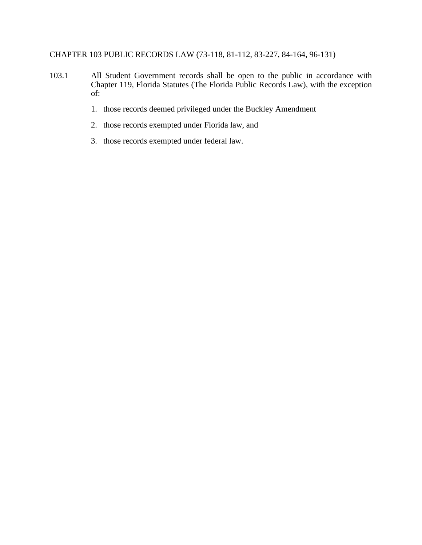## CHAPTER 103 PUBLIC RECORDS LAW (73-118, 81-112, 83-227, 84-164, 96-131)

- 103.1 All Student Government records shall be open to the public in accordance with Chapter 119, Florida Statutes (The Florida Public Records Law), with the exception of:
	- 1. those records deemed privileged under the Buckley Amendment
	- 2. those records exempted under Florida law, and
	- 3. those records exempted under federal law.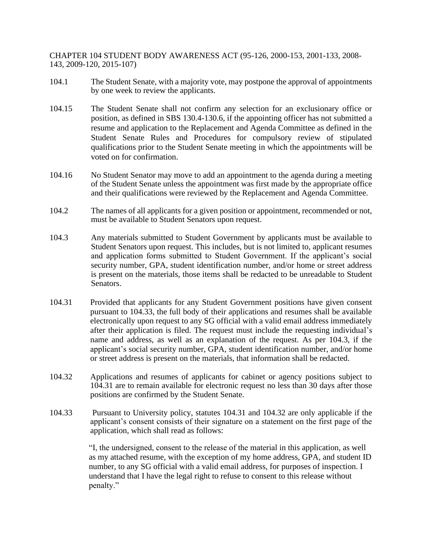CHAPTER 104 STUDENT BODY AWARENESS ACT (95-126, 2000-153, 2001-133, 2008- 143, 2009-120, 2015-107)

- 104.1 The Student Senate, with a majority vote, may postpone the approval of appointments by one week to review the applicants.
- 104.15 The Student Senate shall not confirm any selection for an exclusionary office or position, as defined in SBS 130.4-130.6, if the appointing officer has not submitted a resume and application to the Replacement and Agenda Committee as defined in the Student Senate Rules and Procedures for compulsory review of stipulated qualifications prior to the Student Senate meeting in which the appointments will be voted on for confirmation.
- 104.16 No Student Senator may move to add an appointment to the agenda during a meeting of the Student Senate unless the appointment was first made by the appropriate office and their qualifications were reviewed by the Replacement and Agenda Committee.
- 104.2 The names of all applicants for a given position or appointment, recommended or not, must be available to Student Senators upon request.
- 104.3 Any materials submitted to Student Government by applicants must be available to Student Senators upon request. This includes, but is not limited to, applicant resumes and application forms submitted to Student Government. If the applicant's social security number, GPA, student identification number, and/or home or street address is present on the materials, those items shall be redacted to be unreadable to Student Senators.
- 104.31 Provided that applicants for any Student Government positions have given consent pursuant to 104.33, the full body of their applications and resumes shall be available electronically upon request to any SG official with a valid email address immediately after their application is filed. The request must include the requesting individual's name and address, as well as an explanation of the request. As per 104.3, if the applicant's social security number, GPA, student identification number, and/or home or street address is present on the materials, that information shall be redacted.
- 104.32 Applications and resumes of applicants for cabinet or agency positions subject to 104.31 are to remain available for electronic request no less than 30 days after those positions are confirmed by the Student Senate.
- 104.33 Pursuant to University policy, statutes 104.31 and 104.32 are only applicable if the applicant's consent consists of their signature on a statement on the first page of the application, which shall read as follows:

"I, the undersigned, consent to the release of the material in this application, as well as my attached resume, with the exception of my home address, GPA, and student ID number, to any SG official with a valid email address, for purposes of inspection. I understand that I have the legal right to refuse to consent to this release without penalty."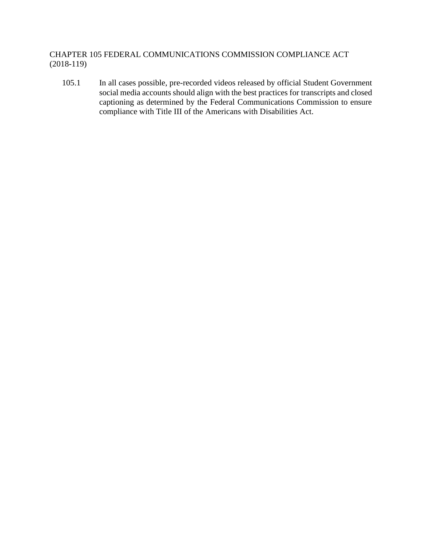CHAPTER 105 FEDERAL COMMUNICATIONS COMMISSION COMPLIANCE ACT (2018-119)

105.1 In all cases possible, pre-recorded videos released by official Student Government social media accounts should align with the best practices for transcripts and closed captioning as determined by the Federal Communications Commission to ensure compliance with Title III of the Americans with Disabilities Act.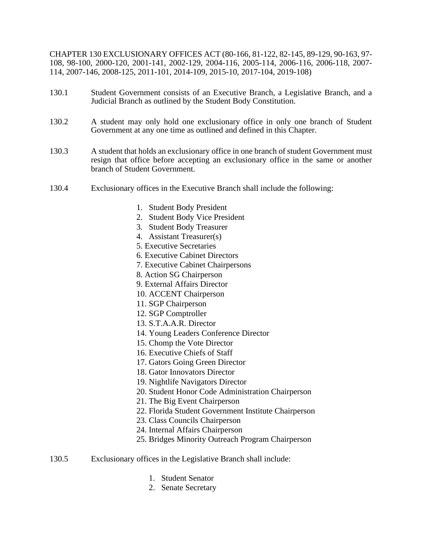CHAPTER 130 EXCLUSIONARY OFFICES ACT (80-166, 81-122, 82-145, 89-129, 90-163, 97- 108, 98-100, 2000-120, 2001-141, 2002-129, 2004-116, 2005-114, 2006-116, 2006-118, 2007- 114, 2007-146, 2008-125, 2011-101, 2014-109, 2015-10, 2017-104, 2019-108)

- 130.1 Student Government consists of an Executive Branch, a Legislative Branch, and a Judicial Branch as outlined by the Student Body Constitution.
- 130.2 A student may only hold one exclusionary office in only one branch of Student Government at any one time as outlined and defined in this Chapter.
- 130.3 A student that holds an exclusionary office in one branch of student Government must resign that office before accepting an exclusionary office in the same or another branch of Student Government.
- 130.4 Exclusionary offices in the Executive Branch shall include the following:
	- 1. Student Body President
	- 2. Student Body Vice President
	- 3. Student Body Treasurer
	- 4. Assistant Treasurer(s)
	- 5. Executive Secretaries
	- 6. Executive Cabinet Directors
	- 7. Executive Cabinet Chairpersons
	- 8. Action SG Chairperson
	- 9. External Affairs Director
	- 10. ACCENT Chairperson
	- 11. SGP Chairperson
	- 12. SGP Comptroller
	- 13. S.T.A.A.R. Director
	- 14. Young Leaders Conference Director
	- 15. Chomp the Vote Director
	- 16. Executive Chiefs of Staff
	- 17. Gators Going Green Director
	- 18. Gator Innovators Director
	- 19. Nightlife Navigators Director
	- 20. Student Honor Code Administration Chairperson
	- 21. The Big Event Chairperson
	- 22. Florida Student Government Institute Chairperson
	- 23. Class Councils Chairperson
	- 24. Internal Affairs Chairperson
	- 25. Bridges Minority Outreach Program Chairperson

## 130.5 Exclusionary offices in the Legislative Branch shall include:

- 1. Student Senator
- 2. Senate Secretary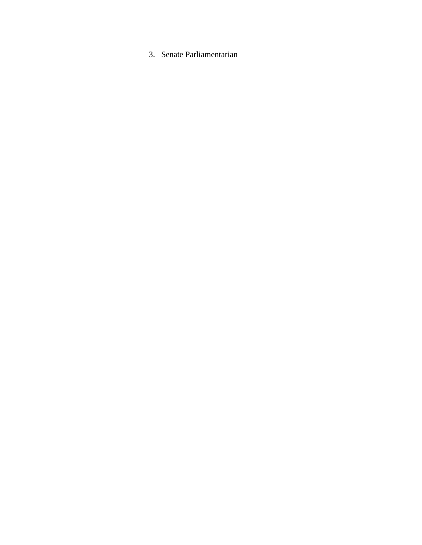3. Senate Parliamentarian